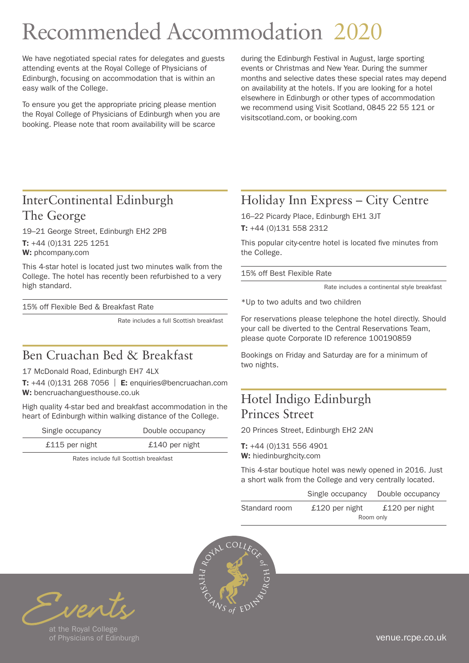# Recommended Accommodation 2020

We have negotiated special rates for delegates and guests attending events at the Royal College of Physicians of Edinburgh, focusing on accommodation that is within an easy walk of the College.

To ensure you get the appropriate pricing please mention the Royal College of Physicians of Edinburgh when you are booking. Please note that room availability will be scarce

during the Edinburgh Festival in August, large sporting events or Christmas and New Year. During the summer months and selective dates these special rates may depend on availability at the hotels. If you are looking for a hotel elsewhere in Edinburgh or other types of accommodation we recommend using Visit Scotland, 0845 22 55 121 or visitscotland.com, or booking.com

# InterContinental Edinburgh The George

19–21 George Street, Edinburgh EH2 2PB T: +44 (0)131 225 1251 W: [phcompany.com](http://www.phcompany.com)

This 4-star hotel is located just two minutes walk from the College. The hotel has recently been refurbished to a very high standard.

15% off Flexible Bed & Breakfast Rate

Rate includes a full Scottish breakfast

### Ben Cruachan Bed & Breakfast

#### 17 McDonald Road, Edinburgh EH7 4LX

T:  $+44$  (0)131 268 7056 | E: enquiries@bencruachan.com W: [bencruachanguesthouse.co.uk](https://www.bencruachanguesthouse.co.uk/)

High quality 4-star bed and breakfast accommodation in the heart of Edinburgh within walking distance of the College.

| Double occupancy |
|------------------|
| £140 per night   |
|                  |

Rates include full Scottish breakfast

# Holiday Inn Express – City Centre

16–22 Picardy Place, Edinburgh EH1 3JT T: +44 (0)131 558 2312

This popular city-centre hotel is located five minutes from the College.

15% off Best Flexible Rate

Rate includes a continental style breakfast

\*Up to two adults and two children

For reservations please telephone the hotel directly. Should your call be diverted to the Central Reservations Team, please quote Corporate ID reference 100190859

Bookings on Friday and Saturday are for a minimum of two nights.

#### Hotel Indigo Edinburgh Princes Street

20 Princes Street, Edinburgh EH2 2AN

T: +44 (0)131 556 4901 W: [hiedinburghcity.com](www.hiedinburghcity.com)

This 4-star boutique hotel was newly opened in 2016. Just a short walk from the College and very centrally located.

|               | Single occupancy | Double occupancy |
|---------------|------------------|------------------|
| Standard room | $£120$ per night | £120 per night   |
|               |                  | Room only        |